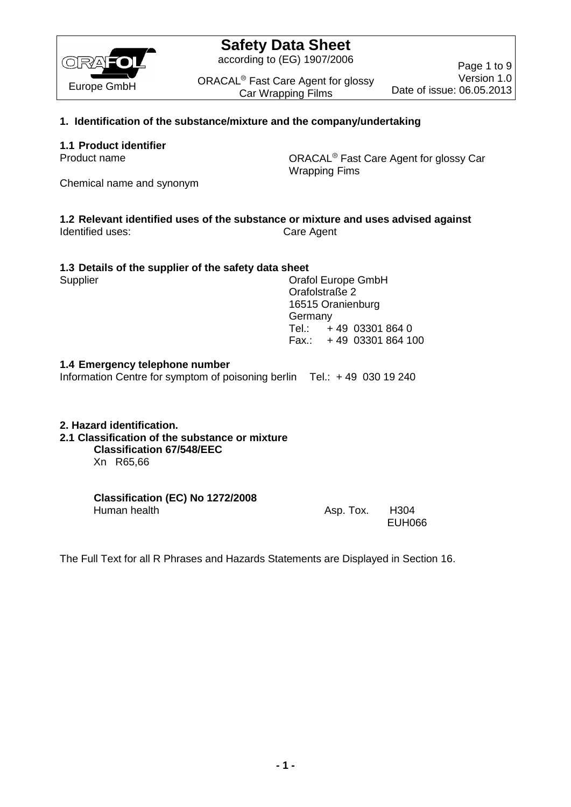

according to (EG) 1907/2006

ORACAL<sup>®</sup> Fast Care Agent for glossy Car Wrapping Films

Page 1 to 9 Version 1.0 Date of issue: 06.05.2013

## **1. Identification of the substance/mixture and the company/undertaking**

### **1.1 Product identifier**

Product name **Care Agent Care Agent for glossy Care** Product name Wrapping Fims

Chemical name and synonym

#### **1.2 Relevant identified uses of the substance or mixture and uses advised against** Identified uses: Care Agent

### **1.3 Details of the supplier of the safety data sheet**

Supplier Current Constants Craft Current Constants Craft Current Constants Craft Current Current Current Current Current Current Current Current Current Current Current Current Current Current Current Current Current Curre Orafolstraße 2 16515 Oranienburg Germany Tel.: + 49 03301 864 0 Fax.: + 49 03301 864 100

## **1.4 Emergency telephone number**

Information Centre for symptom of poisoning berlin Tel.: + 49 030 19 240

#### **2. Hazard identification.**

## **2.1 Classification of the substance or mixture**

**Classification 67/548/EEC** Xn R65,66

#### **Classification (EC) No 1272/2008**  Human health **Asp. Tox.** H304

EUH066

The Full Text for all R Phrases and Hazards Statements are Displayed in Section 16.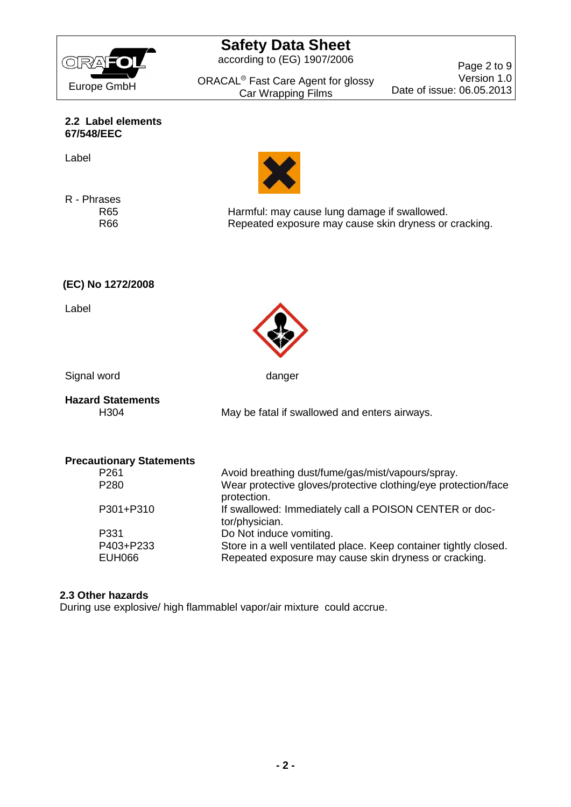

according to (EG) 1907/2006

ORACAL<sup>®</sup> Fast Care Agent for glossy Car Wrapping Films

Page 2 to 9 Version 1.0 Date of issue: 06.05.2013

**2.2 Label elements 67/548/EEC**

Label

R - Phrases

R65 Harmful: may cause lung damage if swallowed. R66 Repeated exposure may cause skin dryness or cracking.

**(EC) No 1272/2008**

Label



Signal word danger

# **Hazard Statements**

H304 May be fatal if swallowed and enters airways.

| <b>Precautionary Statements</b> |                                                                               |
|---------------------------------|-------------------------------------------------------------------------------|
| P <sub>261</sub>                | Avoid breathing dust/fume/gas/mist/vapours/spray.                             |
| P <sub>280</sub>                | Wear protective gloves/protective clothing/eye protection/face<br>protection. |
| P301+P310                       | If swallowed: Immediately call a POISON CENTER or doc-<br>tor/physician.      |
| P331                            | Do Not induce vomiting.                                                       |
| P403+P233                       | Store in a well ventilated place. Keep container tightly closed.              |
| <b>EUH066</b>                   | Repeated exposure may cause skin dryness or cracking.                         |

## **2.3 Other hazards**

During use explosive/ high flammablel vapor/air mixture could accrue.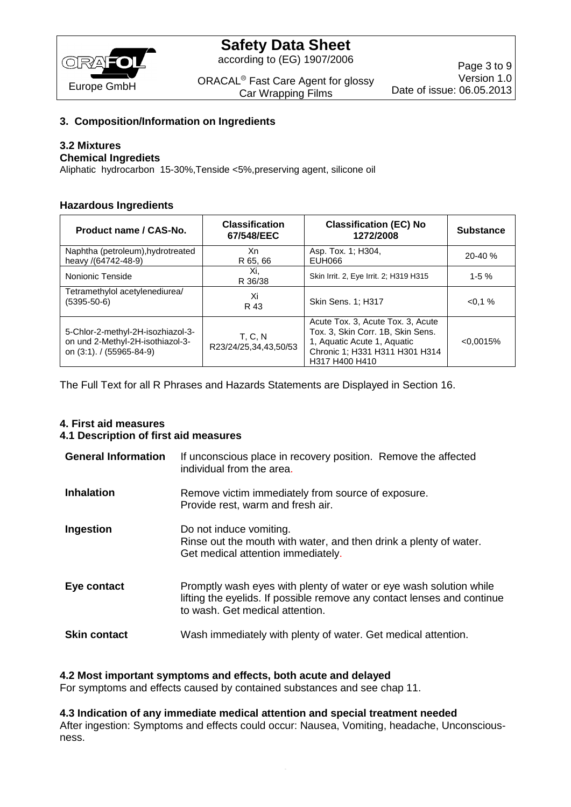

according to (EG) 1907/2006

ORACAL<sup>®</sup> Fast Care Agent for glossy Car Wrapping Films

## **3. Composition/Information on Ingredients**

## **3.2 Mixtures**

## **Chemical Ingrediets**

Aliphatic hydrocarbon 15-30%,Tenside <5%,preserving agent, silicone oil

### **Hazardous Ingredients**

| Product name / CAS-No.                                                                            | <b>Classification</b><br>67/548/EEC | <b>Classification (EC) No</b><br>1272/2008                                                                                                                | <b>Substance</b> |
|---------------------------------------------------------------------------------------------------|-------------------------------------|-----------------------------------------------------------------------------------------------------------------------------------------------------------|------------------|
| Naphtha (petroleum), hydrotreated<br>heavy /(64742-48-9)                                          | Xn<br>R 65, 66                      | Asp. Tox. 1; H304,<br>EUH066                                                                                                                              | $20 - 40 \%$     |
| Nonionic Tenside                                                                                  | Xi.<br>R 36/38                      | Skin Irrit. 2, Eye Irrit. 2; H319 H315                                                                                                                    | $1-5%$           |
| Tetramethylol acetylenediurea/<br>$(5395 - 50 - 6)$                                               | Xi<br>R 43                          | Skin Sens. 1; H317                                                                                                                                        | $< 0.1 \%$       |
| 5-Chlor-2-methyl-2H-isozhiazol-3-<br>on und 2-Methyl-2H-isothiazol-3-<br>on (3:1). / (55965-84-9) | T. C. N<br>R23/24/25,34,43,50/53    | Acute Tox. 3, Acute Tox. 3, Acute<br>Tox. 3, Skin Corr. 1B, Skin Sens.<br>1, Aquatic Acute 1, Aquatic<br>Chronic 1; H331 H311 H301 H314<br>H317 H400 H410 | < 0.0015%        |

The Full Text for all R Phrases and Hazards Statements are Displayed in Section 16.

## **4. First aid measures 4.1 Description of first aid measures**

| <b>General Information</b> | If unconscious place in recovery position. Remove the affected<br>individual from the area.                                                                                      |
|----------------------------|----------------------------------------------------------------------------------------------------------------------------------------------------------------------------------|
| <b>Inhalation</b>          | Remove victim immediately from source of exposure.<br>Provide rest, warm and fresh air.                                                                                          |
| Ingestion                  | Do not induce vomiting.<br>Rinse out the mouth with water, and then drink a plenty of water.<br>Get medical attention immediately.                                               |
| Eye contact                | Promptly wash eyes with plenty of water or eye wash solution while<br>lifting the eyelids. If possible remove any contact lenses and continue<br>to wash. Get medical attention. |
| <b>Skin contact</b>        | Wash immediately with plenty of water. Get medical attention.                                                                                                                    |

### **4.2 Most important symptoms and effects, both acute and delayed**

For symptoms and effects caused by contained substances and see chap 11.

#### **4.3 Indication of any immediate medical attention and special treatment needed**

After ingestion: Symptoms and effects could occur: Nausea, Vomiting, headache, Unconsciousness.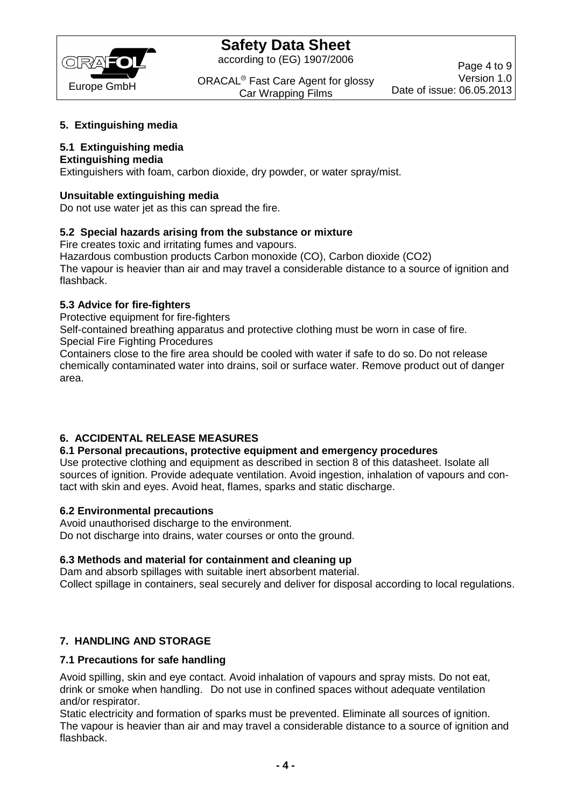

according to (EG) 1907/2006

ORACAL<sup>®</sup> Fast Care Agent for glossy Car Wrapping Films

## **5. Extinguishing media**

## **5.1 Extinguishing media**

## **Extinguishing media**

Extinguishers with foam, carbon dioxide, dry powder, or water spray/mist.

## **Unsuitable extinguishing media**

Do not use water jet as this can spread the fire.

## **5.2 Special hazards arising from the substance or mixture**

Fire creates toxic and irritating fumes and vapours.

Hazardous combustion products Carbon monoxide (CO), Carbon dioxide (CO2) The vapour is heavier than air and may travel a considerable distance to a source of ignition and flashback.

### **5.3 Advice for fire-fighters**

Protective equipment for fire-fighters

Self-contained breathing apparatus and protective clothing must be worn in case of fire. Special Fire Fighting Procedures

Containers close to the fire area should be cooled with water if safe to do so. Do not release chemically contaminated water into drains, soil or surface water. Remove product out of danger area.

## **6. ACCIDENTAL RELEASE MEASURES**

### **6.1 Personal precautions, protective equipment and emergency procedures**

Use protective clothing and equipment as described in section 8 of this datasheet. Isolate all sources of ignition. Provide adequate ventilation. Avoid ingestion, inhalation of vapours and contact with skin and eyes. Avoid heat, flames, sparks and static discharge.

### **6.2 Environmental precautions**

Avoid unauthorised discharge to the environment. Do not discharge into drains, water courses or onto the ground.

### **6.3 Methods and material for containment and cleaning up**

Dam and absorb spillages with suitable inert absorbent material. Collect spillage in containers, seal securely and deliver for disposal according to local regulations.

## **7. HANDLING AND STORAGE**

### **7.1 Precautions for safe handling**

Avoid spilling, skin and eye contact. Avoid inhalation of vapours and spray mists. Do not eat, drink or smoke when handling. Do not use in confined spaces without adequate ventilation and/or respirator.

Static electricity and formation of sparks must be prevented. Eliminate all sources of ignition. The vapour is heavier than air and may travel a considerable distance to a source of ignition and flashback.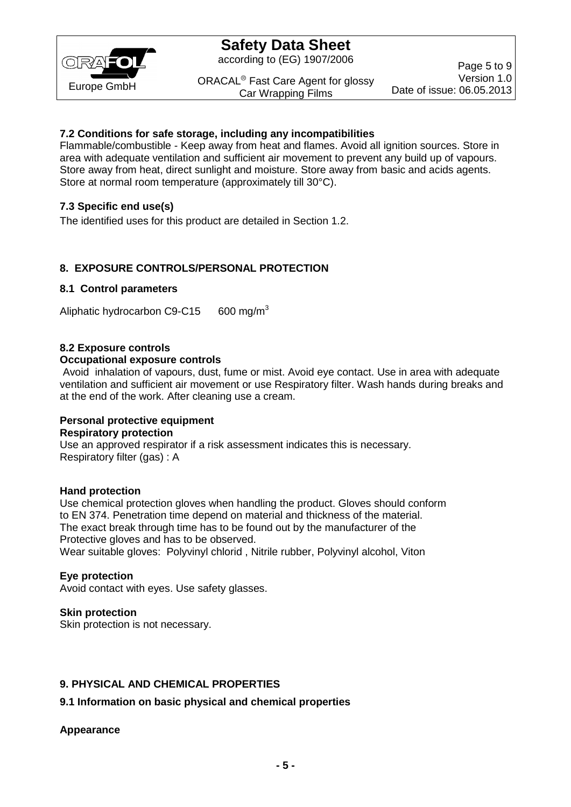

according to (EG) 1907/2006

ORACAL<sup>®</sup> Fast Care Agent for glossy Car Wrapping Films

Page 5 to 9 Version 1.0 Date of issue: 06.05.2013

## **7.2 Conditions for safe storage, including any incompatibilities**

Flammable/combustible - Keep away from heat and flames. Avoid all ignition sources. Store in area with adequate ventilation and sufficient air movement to prevent any build up of vapours. Store away from heat, direct sunlight and moisture. Store away from basic and acids agents. Store at normal room temperature (approximately till 30°C).

## **7.3 Specific end use(s)**

The identified uses for this product are detailed in Section 1.2.

## **8. EXPOSURE CONTROLS/PERSONAL PROTECTION**

## **8.1 Control parameters**

Aliphatic hydrocarbon C9-C15 600 mg/m<sup>3</sup>

### **8.2 Exposure controls**

#### **Occupational exposure controls**

Avoid inhalation of vapours, dust, fume or mist. Avoid eye contact. Use in area with adequate ventilation and sufficient air movement or use Respiratory filter. Wash hands during breaks and at the end of the work. After cleaning use a cream.

## **Personal protective equipment Respiratory protection**

Use an approved respirator if a risk assessment indicates this is necessary. Respiratory filter (gas) : A

### **Hand protection**

Use chemical protection gloves when handling the product. Gloves should conform to EN 374. Penetration time depend on material and thickness of the material. The exact break through time has to be found out by the manufacturer of the Protective gloves and has to be observed. Wear suitable gloves: Polyvinyl chlorid , Nitrile rubber, Polyvinyl alcohol, Viton

### **Eye protection**

Avoid contact with eyes. Use safety glasses.

## **Skin protection**

Skin protection is not necessary.

## **9. PHYSICAL AND CHEMICAL PROPERTIES**

## **9.1 Information on basic physical and chemical properties**

### **Appearance**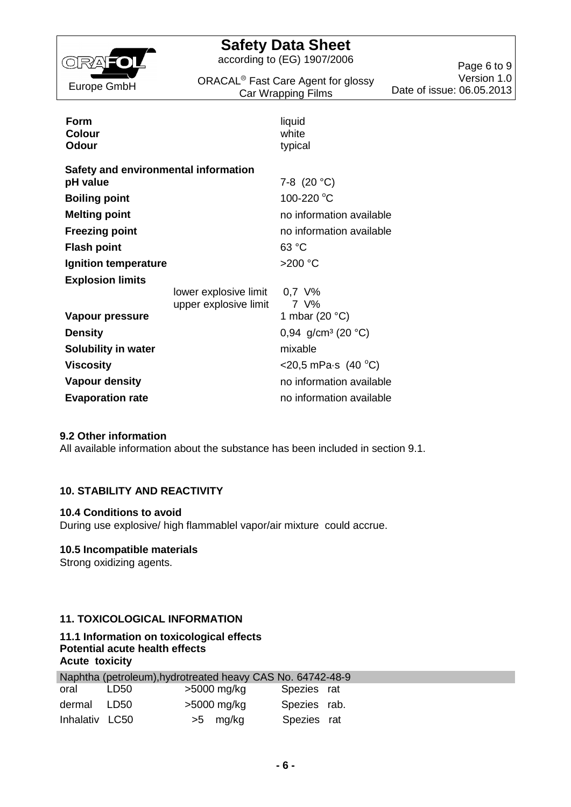

according to (EG) 1907/2006

ORACAL<sup>®</sup> Fast Care Agent for glossy Car Wrapping Films

Page 6 to 9 Version 1.0 Date of issue: 06.05.2013

| Form<br><b>Colour</b><br><b>Odour</b>            |                                                | liquid<br>white<br>typical |
|--------------------------------------------------|------------------------------------------------|----------------------------|
| Safety and environmental information<br>pH value |                                                | 7-8 $(20 °C)$              |
| <b>Boiling point</b>                             |                                                | 100-220 °C                 |
| <b>Melting point</b>                             |                                                | no information available   |
| <b>Freezing point</b>                            |                                                | no information available   |
| <b>Flash point</b>                               |                                                | 63 °C                      |
| Ignition temperature                             |                                                | $>200$ °C                  |
| <b>Explosion limits</b>                          |                                                |                            |
|                                                  | lower explosive limit<br>upper explosive limit | $0.7 \,$ V%<br>7 V%        |
| Vapour pressure                                  |                                                | 1 mbar (20 $°C$ )          |
| <b>Density</b>                                   |                                                | 0,94 $g/cm^3$ (20 °C)      |
| Solubility in water                              |                                                | mixable                    |
| <b>Viscosity</b>                                 |                                                | $<$ 20,5 mPa·s (40 °C)     |
| <b>Vapour density</b>                            |                                                | no information available   |
| <b>Evaporation rate</b>                          |                                                | no information available   |

#### **9.2 Other information**

All available information about the substance has been included in section 9.1.

### **10. STABILITY AND REACTIVITY**

#### **10.4 Conditions to avoid**

During use explosive/ high flammablel vapor/air mixture could accrue.

### **10.5 Incompatible materials**

Strong oxidizing agents.

## **11. TOXICOLOGICAL INFORMATION**

## **11.1 Information on toxicological effects Potential acute health effects Acute toxicity**

|                |      | Naphtha (petroleum), hydrotreated heavy CAS No. 64742-48-9 |              |  |
|----------------|------|------------------------------------------------------------|--------------|--|
| oral           | LD50 | >5000 mg/kg                                                | Spezies rat  |  |
| dermal LD50    |      | >5000 mg/kg                                                | Spezies rab. |  |
| Inhalativ LC50 |      | $>5$ mg/kg                                                 | Spezies rat  |  |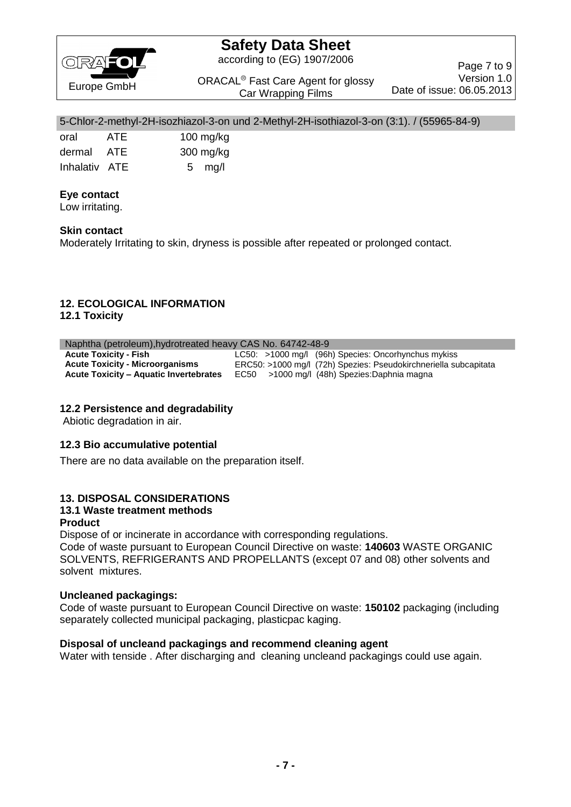

according to (EG) 1907/2006

ORACAL<sup>®</sup> Fast Care Agent for glossy Car Wrapping Films

Page 7 to 9 Version 1.0 Date of issue: 06.05.2013

#### 5-Chlor-2-methyl-2H-isozhiazol-3-on und 2-Methyl-2H-isothiazol-3-on (3:1). / (55965-84-9)

| oral          | ATE | $100$ mg/kg |
|---------------|-----|-------------|
| dermal ATE    |     | 300 mg/kg   |
| Inhalativ ATE |     | 5 $mg/l$    |

## **Eye contact**

Low irritating.

## **Skin contact**

Moderately Irritating to skin, dryness is possible after repeated or prolonged contact.

## **12. ECOLOGICAL INFORMATION**

**12.1 Toxicity**

#### Naphtha (petroleum),hydrotreated heavy CAS No. 64742-48-9

| $\frac{1}{2}$ in the pottor of $\frac{1}{2}$ is the categories of $\frac{1}{2}$ in the set of $\frac{1}{2}$ |                                                                  |  |
|-------------------------------------------------------------------------------------------------------------|------------------------------------------------------------------|--|
| <b>Acute Toxicity - Fish</b>                                                                                | $LC50: >1000$ mg/l (96h) Species: Oncorhynchus mykiss            |  |
| <b>Acute Toxicity - Microorganisms</b>                                                                      | ERC50: >1000 mg/l (72h) Spezies: Pseudokirchneriella subcapitata |  |
| <b>Acute Toxicity – Aquatic Invertebrates</b>                                                               | EC50 >1000 mg/l (48h) Spezies: Daphnia magna                     |  |

## **12.2 Persistence and degradability**

Abiotic degradation in air.

### **12.3 Bio accumulative potential**

There are no data available on the preparation itself.

## **13. DISPOSAL CONSIDERATIONS**

## **13.1 Waste treatment methods**

## **Product**

Dispose of or incinerate in accordance with corresponding regulations.

Code of waste pursuant to European Council Directive on waste: **140603** WASTE ORGANIC SOLVENTS, REFRIGERANTS AND PROPELLANTS (except 07 and 08) other solvents and solvent mixtures.

### **Uncleaned packagings:**

Code of waste pursuant to European Council Directive on waste: **150102** packaging (including separately collected municipal packaging, plasticpac kaging.

### **Disposal of uncleand packagings and recommend cleaning agent**

Water with tenside . After discharging and cleaning uncleand packagings could use again.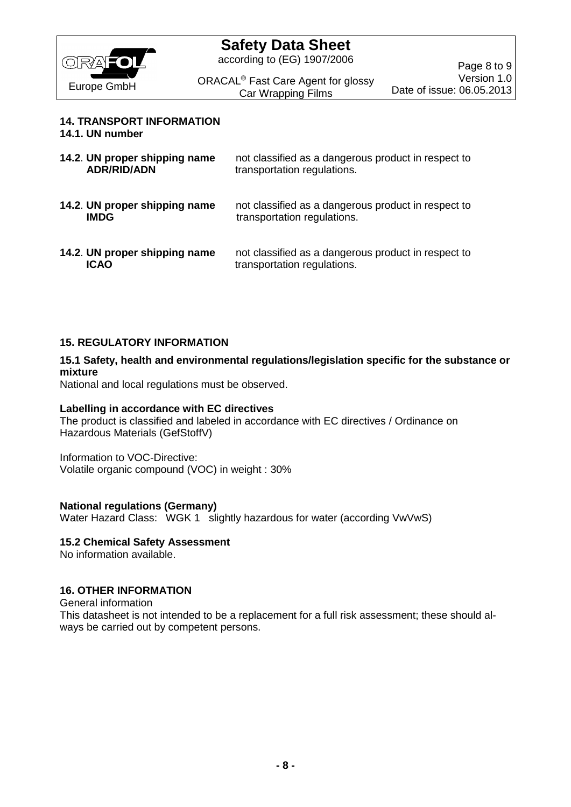

according to (EG) 1907/2006

ORACAL<sup>®</sup> Fast Care Agent for glossy Car Wrapping Films

## **14. TRANSPORT INFORMATION**

**14.1. UN number**

| 14.2. UN proper shipping name<br><b>ADR/RID/ADN</b> | not classified as a dangerous product in respect to<br>transportation regulations. |
|-----------------------------------------------------|------------------------------------------------------------------------------------|
| 14.2. UN proper shipping name<br><b>IMDG</b>        | not classified as a dangerous product in respect to<br>transportation regulations. |
| 14.2. UN proper shipping name<br><b>ICAO</b>        | not classified as a dangerous product in respect to<br>transportation regulations. |

## **15. REGULATORY INFORMATION**

### **15.1 Safety, health and environmental regulations/legislation specific for the substance or mixture**

National and local regulations must be observed.

### **Labelling in accordance with EC directives**

The product is classified and labeled in accordance with EC directives / Ordinance on Hazardous Materials (GefStoffV)

Information to VOC-Directive: Volatile organic compound (VOC) in weight : 30%

### **National regulations (Germany)**

Water Hazard Class: WGK 1 slightly hazardous for water (according VwVwS)

## **15.2 Chemical Safety Assessment**

No information available.

## **16. OTHER INFORMATION**

General information

This datasheet is not intended to be a replacement for a full risk assessment; these should always be carried out by competent persons.